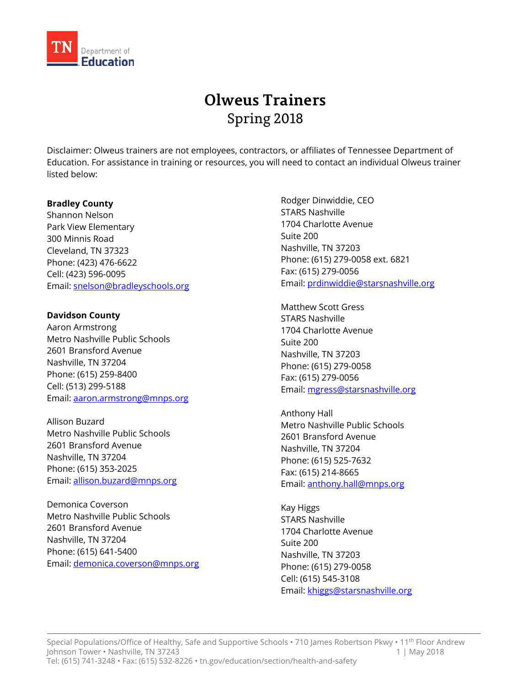

# **Olweus Trainers** Spring 2018

Disclaimer: Olweus trainers are not employees, contractors, or affiliates of Tennessee Department of Education. For assistance in training or resources, you will need to contact an individual Olweus trainer listed below:

#### **Bradley County**

Shannon Nelson Park View Elementary 300 Minnis Road Cleveland, TN 37323 Phone: (423) 476-6622 Cell: (423) 596-0095 Email[: snelson@bradleyschools.org](mailto:snelson@bradleyschools.org)

# **Davidson County**

Aaron Armstrong Metro Nashville Public Schools 2601 Bransford Avenue Nashville, TN 37204 Phone: (615) 259-8400 Cell: (513) 299-5188 Email[: aaron.armstrong@mnps.org](mailto:aaron.armstrong@mnps.org)

Allison Buzard Metro Nashville Public Schools 2601 Bransford Avenue Nashville, TN 37204 Phone: (615) 353-2025 Email[: allison.buzard@mnps.org](mailto:allison.buzard@mnps.org)

Demonica Coverson Metro Nashville Public Schools 2601 Bransford Avenue Nashville, TN 37204 Phone: (615) 641-5400 Email[: demonica.coverson@mnps.org](mailto:demonica.coverson@mnps.org)

Rodger Dinwiddie, CEO STARS Nashville 1704 Charlotte Avenue Suite 200 Nashville, TN 37203 Phone: (615) 279-0058 ext. 6821 Fax: (615) 279-0056 Email[: prdinwiddie@starsnashville.org](mailto:prdinwiddie@starsnashville.org)

Matthew Scott Gress STARS Nashville 1704 Charlotte Avenue Suite 200 Nashville, TN 37203 Phone: (615) 279-0058 Fax: (615) 279-0056 Email[: mgress@starsnashville.org](mailto:mgress@starsnashville.org)

Anthony Hall Metro Nashville Public Schools 2601 Bransford Avenue Nashville, TN 37204 Phone: (615) 525-7632 Fax: (615) 214-8665 Email[: anthony.hall@mnps.org](mailto:anthony.hall@mnps.org)

Kay Higgs STARS Nashville 1704 Charlotte Avenue Suite 200 Nashville, TN 37203 Phone: (615) 279-0058 Cell: (615) 545-3108 Email[: khiggs@starsnashville.org](mailto:khiggs@starsnashville.org)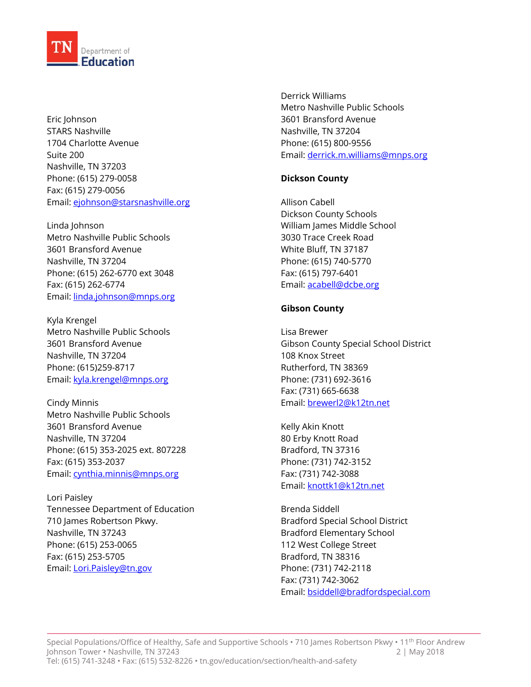

Eric Johnson STARS Nashville 1704 Charlotte Avenue Suite 200 Nashville, TN 37203 Phone: (615) 279-0058 Fax: (615) 279-0056 Email[: ejohnson@starsnashville.org](mailto:ejohnson@starsnashville.org)

Linda Johnson Metro Nashville Public Schools 3601 Bransford Avenue Nashville, TN 37204 Phone: (615) 262-6770 ext 3048 Fax: (615) 262-6774 Email[: linda.johnson@mnps.org](mailto:linda.johnson@mnps.org)

Kyla Krengel Metro Nashville Public Schools 3601 Bransford Avenue Nashville, TN 37204 Phone: (615)259-8717 Email[: kyla.krengel@mnps.org](mailto:kyla.krengel@mnps.org)

Cindy Minnis Metro Nashville Public Schools 3601 Bransford Avenue Nashville, TN 37204 Phone: (615) 353-2025 ext. 807228 Fax: (615) 353-2037 Email[: cynthia.minnis@mnps.org](mailto:cynthia.minnis@mnps.org)

Lori Paisley Tennessee Department of Education 710 James Robertson Pkwy. Nashville, TN 37243 Phone: (615) 253-0065 Fax: (615) 253-5705 Email[: Lori.Paisley@tn.gov](mailto:Lori.Paisley@tn.gov)

Derrick Williams Metro Nashville Public Schools 3601 Bransford Avenue Nashville, TN 37204 Phone: (615) 800-9556 Email[: derrick.m.williams@mnps.org](mailto:derrick.m.williams@mnps.org)

# **Dickson County**

Allison Cabell Dickson County Schools William James Middle School 3030 Trace Creek Road White Bluff, TN 37187 Phone: (615) 740-5770 Fax: (615) 797-6401 Email[: acabell@dcbe.org](mailto:acabell@dcbe.org)

#### **Gibson County**

Lisa Brewer Gibson County Special School District 108 Knox Street Rutherford, TN 38369 Phone: (731) 692-3616 Fax: (731) 665-6638 Email[: brewerl2@k12tn.net](mailto:brewerl2@k12tn.net)

Kelly Akin Knott 80 Erby Knott Road Bradford, TN 37316 Phone: (731) 742-3152 Fax: (731) 742-3088 Email[: knottk1@k12tn.net](mailto:knottk1@k12tn.net)

Brenda Siddell Bradford Special School District Bradford Elementary School 112 West College Street Bradford, TN 38316 Phone: (731) 742-2118 Fax: (731) 742-3062 Email[: bsiddell@bradfordspecial.com](mailto:bsiddell@bradfordspecial.com)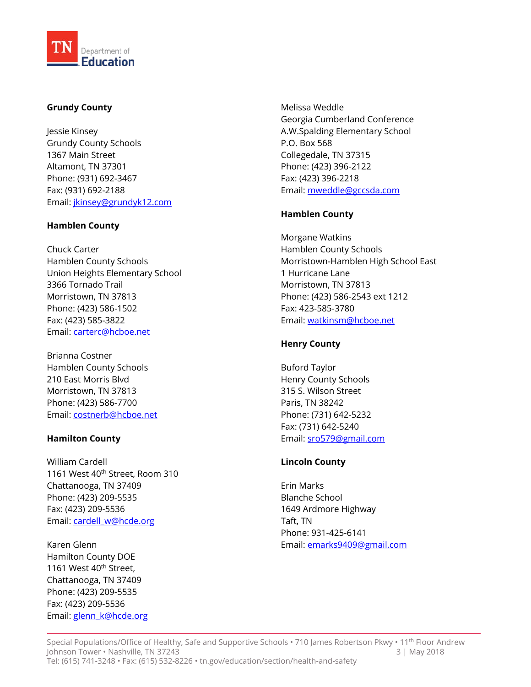

# **Grundy County**

Jessie Kinsey Grundy County Schools 1367 Main Street Altamont, TN 37301 Phone: (931) 692-3467 Fax: (931) 692-2188 Email[: jkinsey@grundyk12.com](mailto:jkinsey@grundyk12.com)

# **Hamblen County**

Chuck Carter Hamblen County Schools Union Heights Elementary School 3366 Tornado Trail Morristown, TN 37813 Phone: (423) 586-1502 Fax: (423) 585-3822 Email[: carterc@hcboe.net](mailto:carterc@hcboe.net)

Brianna Costner Hamblen County Schools 210 East Morris Blvd Morristown, TN 37813 Phone: (423) 586-7700 Email[: costnerb@hcboe.net](mailto:costnerb@hcboe.net)

# **Hamilton County**

William Cardell 1161 West 40<sup>th</sup> Street, Room 310 Chattanooga, TN 37409 Phone: (423) 209-5535 Fax: (423) 209-5536 Email: cardell w@hcde.org

Karen Glenn Hamilton County DOE 1161 West 40<sup>th</sup> Street, Chattanooga, TN 37409 Phone: (423) 209-5535 Fax: (423) 209-5536 Email[: glenn\\_k@hcde.org](mailto:glenn_k@hcde.org) Melissa Weddle Georgia Cumberland Conference A.W.Spalding Elementary School P.O. Box 568 Collegedale, TN 37315 Phone: (423) 396-2122 Fax: (423) 396-2218 Email[: mweddle@gccsda.com](mailto:mweddle@gccsda.com)

# **Hamblen County**

Morgane Watkins Hamblen County Schools Morristown-Hamblen High School East 1 Hurricane Lane Morristown, TN 37813 Phone: (423) 586-2543 ext 1212 Fax: 423-585-3780 Email[: watkinsm@hcboe.net](mailto:watkinsm@hcboe.net)

# **Henry County**

Buford Taylor Henry County Schools 315 S. Wilson Street Paris, TN 38242 Phone: (731) 642-5232 Fax: (731) 642-5240 Email[: sro579@gmail.com](mailto:sro579@gmail.com)

# **Lincoln County**

Erin Marks Blanche School 1649 Ardmore Highway Taft, TN Phone: 931-425-6141 Email[: emarks9409@gmail.com](mailto:emarks9409@gmail.com)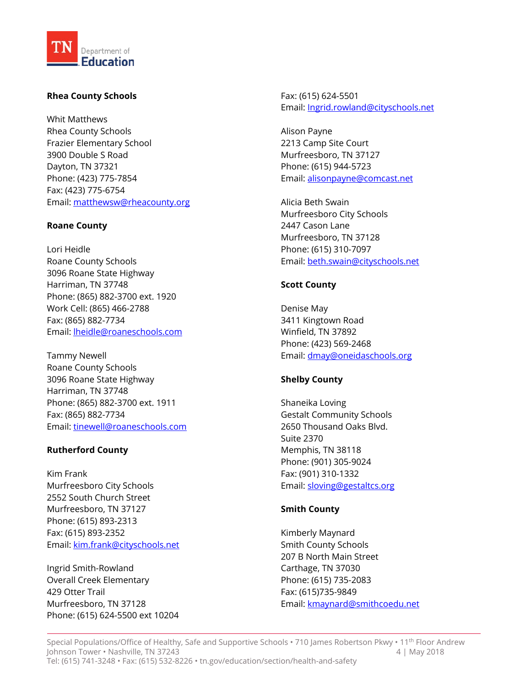

# **Rhea County Schools**

Whit Matthews Rhea County Schools Frazier Elementary School 3900 Double S Road Dayton, TN 37321 Phone: (423) 775-7854 Fax: (423) 775-6754 Email[: matthewsw@rheacounty.org](mailto:matthewsw@rheacounty.org)

# **Roane County**

Lori Heidle Roane County Schools 3096 Roane State Highway Harriman, TN 37748 Phone: (865) 882-3700 ext. 1920 Work Cell: (865) 466-2788 Fax: (865) 882-7734 Email[: lheidle@roaneschools.com](mailto:lheidle@roaneschools.com)

Tammy Newell Roane County Schools 3096 Roane State Highway Harriman, TN 37748 Phone: (865) 882-3700 ext. 1911 Fax: (865) 882-7734 Email[: tinewell@roaneschools.com](mailto:tinewell@roaneschools.com)

# **Rutherford County**

Kim Frank Murfreesboro City Schools 2552 South Church Street Murfreesboro, TN 37127 Phone: (615) 893-2313 Fax: (615) 893-2352 Email[: kim.frank@cityschools.net](mailto:kim.frank@cityschools.net)

Ingrid Smith-Rowland Overall Creek Elementary 429 Otter Trail Murfreesboro, TN 37128 Phone: (615) 624-5500 ext 10204 Fax: (615) 624-5501 Email[: Ingrid.rowland@cityschools.net](mailto:Ingrid.rowland@cityschools.net)

Alison Payne 2213 Camp Site Court Murfreesboro, TN 37127 Phone: (615) 944-5723 Email[: alisonpayne@comcast.net](mailto:alisonpayne@comcast.net)

Alicia Beth Swain Murfreesboro City Schools 2447 Cason Lane Murfreesboro, TN 37128 Phone: (615) 310-7097 Email[: beth.swain@cityschools.net](mailto:beth.swain@cityschools.net)

# **Scott County**

Denise May 3411 Kingtown Road Winfield, TN 37892 Phone: (423) 569-2468 Email[: dmay@oneidaschools.org](mailto:dmay@oneidaschools.org)

# **Shelby County**

Shaneika Loving Gestalt Community Schools 2650 Thousand Oaks Blvd. Suite 2370 Memphis, TN 38118 Phone: (901) 305-9024 Fax: (901) 310-1332 Email[: sloving@gestaltcs.org](mailto:sloving@gestaltcs.org)

# **Smith County**

Kimberly Maynard Smith County Schools 207 B North Main Street Carthage, TN 37030 Phone: (615) 735-2083 Fax: (615)735-9849 Email[: kmaynard@smithcoedu.net](mailto:kmaynard@smithcoedu.net)